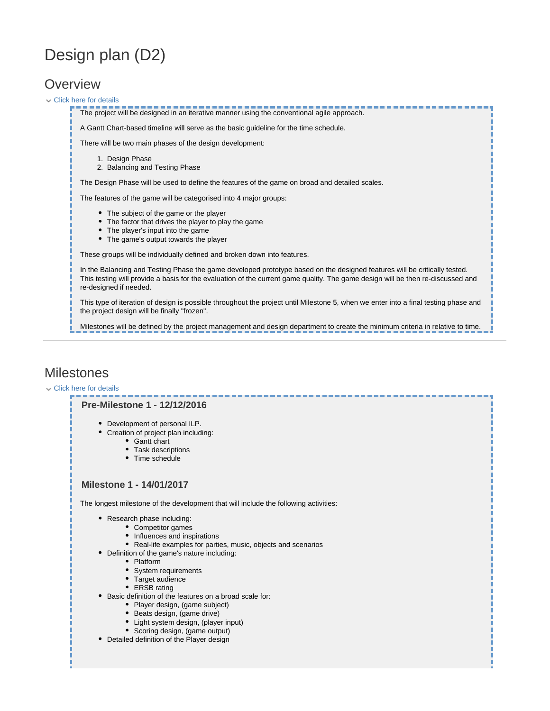# Design plan (D2)

# **Overview**

#### Click here for details

1. Design Phase 2. Balancing and Testing Phase The project will be designed in an iterative manner using the conventional agile approach. A Gantt Chart-based timeline will serve as the basic guideline for the time schedule. There will be two main phases of the design development: The Design Phase will be used to define the features of the game on broad and detailed scales. The features of the game will be categorised into 4 major groups: • The subject of the game or the player The factor that drives the player to play the game • The player's input into the game • The game's output towards the player These groups will be individually defined and broken down into features. In the Balancing and Testing Phase the game developed prototype based on the designed features will be critically tested. This testing will provide a basis for the evaluation of the current game quality. The game design will be then re-discussed and re-designed if needed. This type of iteration of design is possible throughout the project until Milestone 5, when we enter into a final testing phase and the project design will be finally "frozen". Milestones will be defined by the project management and design department to create the minimum criteria in relative to time.

## **Milestones**

#### Click here for details

### **Pre-Milestone 1 - 12/12/2016**

- Development of personal ILP.
- Creation of project plan including:
	- Gantt chart
		- Task descriptions
	- Time schedule

### **Milestone 1 - 14/01/2017**

The longest milestone of the development that will include the following activities:

- Research phase including:
	- Competitor games
	- Influences and inspirations
	- Real-life examples for parties, music, objects and scenarios
- Definition of the game's nature including:
	- Platform
	- System requirements
	- Target audience
	- ERSB rating
- Basic definition of the features on a broad scale for:
	- Player design, (game subject)
	- Beats design, (game drive)
	- Light system design, (player input)
	- Scoring design, (game output)
- Detailed definition of the Player design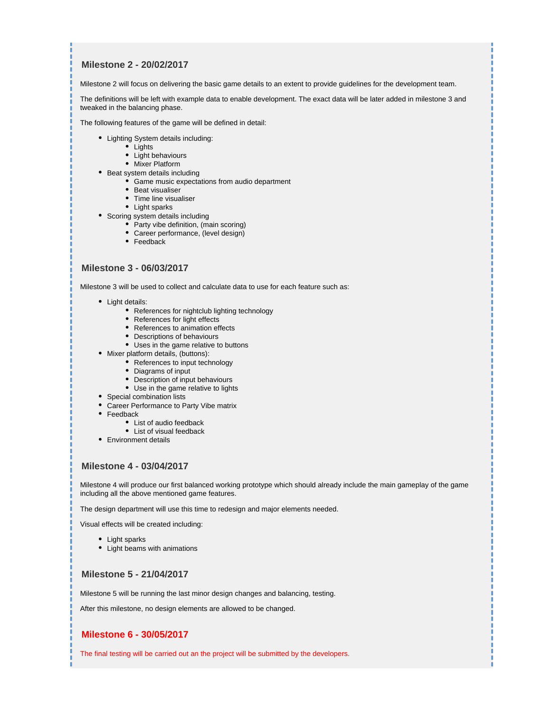### **Milestone 2 - 20/02/2017**

Milestone 2 will focus on delivering the basic game details to an extent to provide guidelines for the development team.

The definitions will be left with example data to enable development. The exact data will be later added in milestone 3 and tweaked in the balancing phase.

The following features of the game will be defined in detail:

- Lighting System details including:
	- $\bullet$  Lights
	- Light behaviours
	- Mixer Platform
- Beat system details including
	- Game music expectations from audio department
	- Beat visualiser
	- Time line visualiser
	- Light sparks
- Scoring system details including
	- Party vibe definition, (main scoring)
	- Career performance, (level design)
	- Feedback

#### **Milestone 3 - 06/03/2017**

Milestone 3 will be used to collect and calculate data to use for each feature such as:

- Light details:
	- References for nightclub lighting technology
	- References for light effects
	- References to animation effects
	- Descriptions of behaviours
	- Uses in the game relative to buttons
- Mixer platform details, (buttons):
	- References to input technology
	- Diagrams of input
	- Description of input behaviours
	- Use in the game relative to lights
- Special combination lists
- Career Performance to Party Vibe matrix
- Feedback
	- List of audio feedback
	- List of visual feedback
- Environment details

#### **Milestone 4 - 03/04/2017**

Milestone 4 will produce our first balanced working prototype which should already include the main gameplay of the game including all the above mentioned game features.

The design department will use this time to redesign and major elements needed.

Visual effects will be created including:

- Light sparks
- Light beams with animations

### **Milestone 5 - 21/04/2017**

Milestone 5 will be running the last minor design changes and balancing, testing.

After this milestone, no design elements are allowed to be changed.

### **Milestone 6 - 30/05/2017**

The final testing will be carried out an the project will be submitted by the developers.